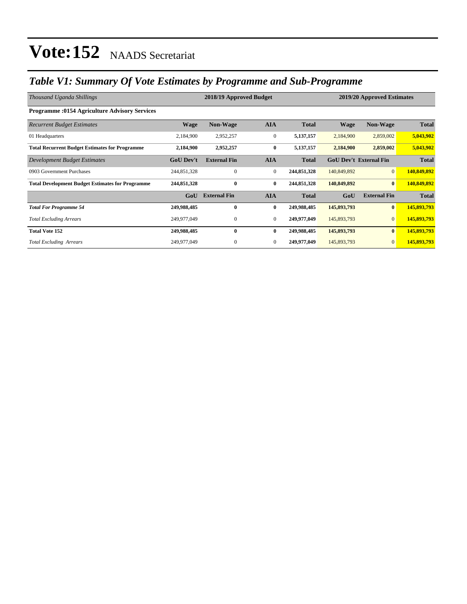### *Table V1: Summary Of Vote Estimates by Programme and Sub-Programme*

| Thousand Uganda Shillings                               |                  | 2019/20 Approved Estimates |                  |              |                               |                     |              |
|---------------------------------------------------------|------------------|----------------------------|------------------|--------------|-------------------------------|---------------------|--------------|
| <b>Programme: 0154 Agriculture Advisory Services</b>    |                  |                            |                  |              |                               |                     |              |
| <b>Recurrent Budget Estimates</b>                       | <b>Wage</b>      | <b>Non-Wage</b>            | <b>AIA</b>       | <b>Total</b> | <b>Wage</b>                   | <b>Non-Wage</b>     | <b>Total</b> |
| 01 Headquarters                                         | 2,184,900        | 2,952,257                  | $\boldsymbol{0}$ | 5,137,157    | 2,184,900                     | 2,859,002           | 5,043,902    |
| <b>Total Recurrent Budget Estimates for Programme</b>   | 2,184,900        | 2,952,257                  | $\bf{0}$         | 5,137,157    | 2,184,900                     | 2,859,002           | 5,043,902    |
| Development Budget Estimates                            | <b>GoU Dev't</b> | <b>External Fin</b>        | <b>AIA</b>       | <b>Total</b> | <b>GoU Dev't External Fin</b> |                     | <b>Total</b> |
| 0903 Government Purchases                               | 244,851,328      | $\mathbf{0}$               | $\mathbf{0}$     | 244,851,328  | 140,849,892                   | $\overline{0}$      | 140,849,892  |
| <b>Total Development Budget Estimates for Programme</b> | 244,851,328      | $\bf{0}$                   | $\bf{0}$         | 244,851,328  | 140,849,892                   | $\bf{0}$            | 140,849,892  |
|                                                         | GoU              | <b>External Fin</b>        | <b>AIA</b>       | <b>Total</b> | GoU                           | <b>External Fin</b> | <b>Total</b> |
| <b>Total For Programme 54</b>                           | 249,988,485      | $\bf{0}$                   | $\bf{0}$         | 249,988,485  | 145,893,793                   | $\bf{0}$            | 145,893,793  |
| <b>Total Excluding Arrears</b>                          | 249,977,049      | $\mathbf{0}$               | $\mathbf{0}$     | 249,977,049  | 145,893,793                   | $\overline{0}$      | 145,893,793  |
| <b>Total Vote 152</b>                                   | 249,988,485      | $\bf{0}$                   | $\bf{0}$         | 249,988,485  | 145,893,793                   | $\bf{0}$            | 145,893,793  |
| <b>Total Excluding Arrears</b>                          | 249,977,049      | $\mathbf{0}$               | $\mathbf{0}$     | 249,977,049  | 145,893,793                   | $\mathbf{0}$        | 145,893,793  |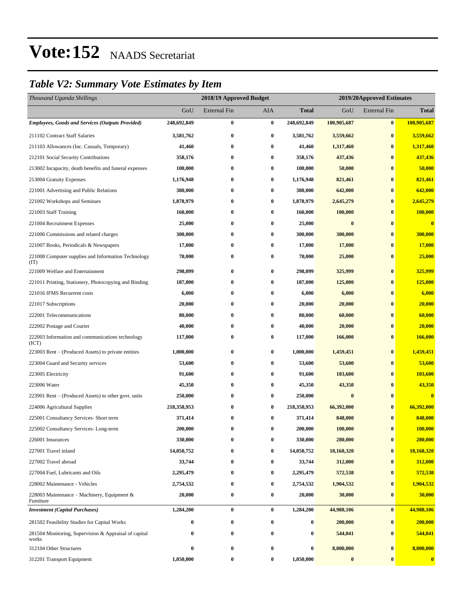### *Table V2: Summary Vote Estimates by Item*

| Thousand Uganda Shillings                                      |                  | 2018/19 Approved Budget |            |              | 2019/20Approved Estimates |                     |              |  |
|----------------------------------------------------------------|------------------|-------------------------|------------|--------------|---------------------------|---------------------|--------------|--|
|                                                                | GoU              | <b>External Fin</b>     | <b>AIA</b> | <b>Total</b> | GoU                       | <b>External Fin</b> | <b>Total</b> |  |
| <b>Employees, Goods and Services (Outputs Provided)</b>        | 248,692,849      | $\boldsymbol{0}$        | $\bf{0}$   | 248,692,849  | 100,905,687               | $\bf{0}$            | 100,905,687  |  |
| 211102 Contract Staff Salaries                                 | 3,581,762        | $\bf{0}$                | $\bf{0}$   | 3,581,762    | 3,559,662                 | $\bf{0}$            | 3,559,662    |  |
| 211103 Allowances (Inc. Casuals, Temporary)                    | 41,460           | 0                       | $\bf{0}$   | 41,460       | 1,317,460                 | $\bf{0}$            | 1,317,460    |  |
| 212101 Social Security Contributions                           | 358,176          | $\bf{0}$                | $\bf{0}$   | 358,176      | 437,436                   | $\bf{0}$            | 437,436      |  |
| 213002 Incapacity, death benefits and funeral expenses         | 100,000          | 0                       | $\bf{0}$   | 100,000      | 50,000                    | $\bf{0}$            | 50,000       |  |
| 213004 Gratuity Expenses                                       | 1,176,948        | $\bf{0}$                | $\bf{0}$   | 1,176,948    | 821,461                   | $\bf{0}$            | 821,461      |  |
| 221001 Advertising and Public Relations                        | 380,000          | 0                       | $\bf{0}$   | 380,000      | 642,000                   | $\bf{0}$            | 642,000      |  |
| 221002 Workshops and Seminars                                  | 1,878,979        | 0                       | $\bf{0}$   | 1,878,979    | 2,645,279                 | $\bf{0}$            | 2,645,279    |  |
| 221003 Staff Training                                          | 160,000          | $\bf{0}$                | $\bf{0}$   | 160,000      | 100,000                   | $\bf{0}$            | 100,000      |  |
| 221004 Recruitment Expenses                                    | 25,000           | $\bf{0}$                | $\bf{0}$   | 25,000       | $\bf{0}$                  | $\bf{0}$            | $\bf{0}$     |  |
| 221006 Commissions and related charges                         | 300,000          | $\bf{0}$                | $\bf{0}$   | 300,000      | 300,000                   | $\bf{0}$            | 300,000      |  |
| 221007 Books, Periodicals & Newspapers                         | 17,000           | 0                       | $\bf{0}$   | 17,000       | 17,000                    | $\bf{0}$            | 17,000       |  |
| 221008 Computer supplies and Information Technology<br>(TT)    | 70,000           | 0                       | $\bf{0}$   | 70,000       | 25,000                    | $\bf{0}$            | 25,000       |  |
| 221009 Welfare and Entertainment                               | 298,099          | $\bf{0}$                | $\bf{0}$   | 298,099      | 325,999                   | $\bf{0}$            | 325,999      |  |
| 221011 Printing, Stationery, Photocopying and Binding          | 187,000          | $\bf{0}$                | $\bf{0}$   | 187,000      | 125,000                   | $\bf{0}$            | 125,000      |  |
| 221016 IFMS Recurrent costs                                    | 6,000            | 0                       | $\bf{0}$   | 6,000        | 6,000                     | $\bf{0}$            | 6,000        |  |
| 221017 Subscriptions                                           | 20,000           | 0                       | $\bf{0}$   | 20,000       | 20,000                    | $\bf{0}$            | 20,000       |  |
| 222001 Telecommunications                                      | 80,000           | $\bf{0}$                | $\bf{0}$   | 80,000       | 60,000                    | $\bf{0}$            | 60,000       |  |
| 222002 Postage and Courier                                     | 40,000           | 0                       | $\bf{0}$   | 40,000       | 20,000                    | $\bf{0}$            | 20,000       |  |
| 222003 Information and communications technology<br>(ICT)      | 117,000          | $\boldsymbol{0}$        | $\bf{0}$   | 117,000      | 166,000                   | $\bf{0}$            | 166,000      |  |
| 223003 Rent – (Produced Assets) to private entities            | 1,000,000        | $\bf{0}$                | $\bf{0}$   | 1,000,000    | 1,459,451                 | $\bf{0}$            | 1,459,451    |  |
| 223004 Guard and Security services                             | 53,600           | 0                       | $\bf{0}$   | 53,600       | 53,600                    | $\bf{0}$            | 53,600       |  |
| 223005 Electricity                                             | 91,600           | $\boldsymbol{0}$        | $\bf{0}$   | 91,600       | 103,600                   | $\bf{0}$            | 103,600      |  |
| 223006 Water                                                   | 45,350           | 0                       | $\bf{0}$   | 45,350       | 43,350                    | $\bf{0}$            | 43,350       |  |
| 223901 Rent – (Produced Assets) to other govt. units           | 250,000          | 0                       | $\bf{0}$   | 250,000      | $\bf{0}$                  | $\bf{0}$            | $\bf{0}$     |  |
| 224006 Agricultural Supplies                                   | 218,358,953      | $\bf{0}$                | $\bf{0}$   | 218,358,953  | 66,392,000                | $\bf{0}$            | 66,392,000   |  |
| 225001 Consultancy Services- Short term                        | 371,414          | 0                       | $\bf{0}$   | 371,414      | 848,000                   | $\bf{0}$            | 848,000      |  |
| 225002 Consultancy Services-Long-term                          | 200,000          | $\bf{0}$                | $\bf{0}$   | 200,000      | 100,000                   | $\bf{0}$            | 100,000      |  |
| 226001 Insurances                                              | 330,000          | 0                       | $\bf{0}$   | 330,000      | 280,000                   | $\bf{0}$            | 280,000      |  |
| 227001 Travel inland                                           | 14,050,752       | 0                       | $\bf{0}$   | 14,050,752   | 18,168,320                | $\bf{0}$            | 18,168,320   |  |
| 227002 Travel abroad                                           | 33,744           | $\boldsymbol{0}$        | $\bf{0}$   | 33,744       | 312,000                   | $\boldsymbol{0}$    | 312,000      |  |
| 227004 Fuel, Lubricants and Oils                               | 2,295,479        | 0                       | $\bf{0}$   | 2,295,479    | 572,538                   | $\bf{0}$            | 572,538      |  |
| 228002 Maintenance - Vehicles                                  | 2,754,532        | $\boldsymbol{0}$        | $\bf{0}$   | 2,754,532    | 1,904,532                 | $\bf{0}$            | 1,904,532    |  |
| 228003 Maintenance – Machinery, Equipment &<br>Furniture       | 20,000           | $\boldsymbol{0}$        | $\bf{0}$   | 20,000       | 30,000                    | $\bf{0}$            | 30,000       |  |
| <b>Investment</b> (Capital Purchases)                          | 1,284,200        | $\bf{0}$                | $\bf{0}$   | 1,284,200    | 44,988,106                | $\bf{0}$            | 44,988,106   |  |
| 281502 Feasibility Studies for Capital Works                   | 0                | $\boldsymbol{0}$        | $\bf{0}$   | $\bf{0}$     | 200,000                   | $\bf{0}$            | 200,000      |  |
| 281504 Monitoring, Supervision & Appraisal of capital<br>works | 0                | 0                       | $\bf{0}$   | $\bf{0}$     | 544,041                   | $\bf{0}$            | 544,041      |  |
| 312104 Other Structures                                        | $\boldsymbol{0}$ | $\boldsymbol{0}$        | $\bf{0}$   | $\bf{0}$     | 8,000,000                 | $\boldsymbol{0}$    | 8,000,000    |  |
| 312201 Transport Equipment                                     | 1,050,000        | $\boldsymbol{0}$        | $\bf{0}$   | 1,050,000    | $\pmb{0}$                 | $\bf{0}$            | $\bf{0}$     |  |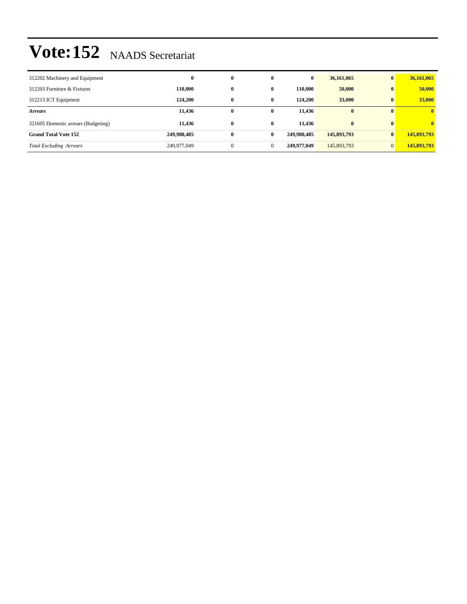| 312202 Machinery and Equipment      | $\bf{0}$    | $\bf{0}$       | $\bf{0}$     | $\bf{0}$    | 36,161,065   | $\mathbf{0}$            | 36,161,065              |
|-------------------------------------|-------------|----------------|--------------|-------------|--------------|-------------------------|-------------------------|
| 312203 Furniture & Fixtures         | 110.000     | $\bf{0}$       | $\bf{0}$     | 110.000     | 50,000       | $\mathbf{0}$            | 50,000                  |
| 312213 ICT Equipment                | 124,200     | $\bf{0}$       | $\bf{0}$     | 124.200     | 33,000       | $\bf{0}$                | 33,000                  |
| <b>Arrears</b>                      | 11,436      | $\bf{0}$       | 0            | 11,436      | $\mathbf{0}$ | $\mathbf{0}$            | $\overline{\mathbf{0}}$ |
| 321605 Domestic arrears (Budgeting) | 11,436      | $\bf{0}$       | $\bf{0}$     | 11.436      | $\bf{0}$     | $\mathbf{0}$            | $\mathbf{0}$            |
| <b>Grand Total Vote 152</b>         | 249,988,485 | $\bf{0}$       | $\bf{0}$     | 249,988,485 | 145,893,793  | $\overline{\mathbf{0}}$ | 145,893,793             |
| <b>Total Excluding Arrears</b>      | 249,977,049 | $\overline{0}$ | $\mathbf{0}$ | 249,977,049 | 145,893,793  | $\overline{0}$          | 145,893,793             |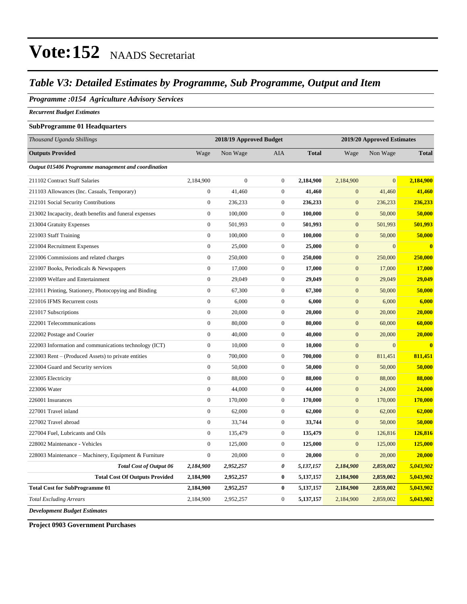### *Table V3: Detailed Estimates by Programme, Sub Programme, Output and Item*

### *Programme :0154 Agriculture Advisory Services*

*Recurrent Budget Estimates*

#### **SubProgramme 01 Headquarters**

| Thousand Uganda Shillings                              |                  | 2018/19 Approved Budget |                  |              | 2019/20 Approved Estimates |                |              |  |
|--------------------------------------------------------|------------------|-------------------------|------------------|--------------|----------------------------|----------------|--------------|--|
| <b>Outputs Provided</b>                                | Wage             | Non Wage                | <b>AIA</b>       | <b>Total</b> | Wage                       | Non Wage       | <b>Total</b> |  |
| Output 015406 Programme management and coordination    |                  |                         |                  |              |                            |                |              |  |
| 211102 Contract Staff Salaries                         | 2,184,900        | $\boldsymbol{0}$        | $\mathbf{0}$     | 2,184,900    | 2,184,900                  | $\overline{0}$ | 2,184,900    |  |
| 211103 Allowances (Inc. Casuals, Temporary)            | $\boldsymbol{0}$ | 41,460                  | $\mathbf{0}$     | 41,460       | $\mathbf{0}$               | 41,460         | 41,460       |  |
| 212101 Social Security Contributions                   | $\boldsymbol{0}$ | 236,233                 | $\boldsymbol{0}$ | 236,233      | $\boldsymbol{0}$           | 236,233        | 236,233      |  |
| 213002 Incapacity, death benefits and funeral expenses | $\boldsymbol{0}$ | 100,000                 | $\mathbf{0}$     | 100,000      | $\mathbf{0}$               | 50,000         | 50,000       |  |
| 213004 Gratuity Expenses                               | $\mathbf{0}$     | 501,993                 | $\boldsymbol{0}$ | 501,993      | $\mathbf{0}$               | 501,993        | 501,993      |  |
| 221003 Staff Training                                  | $\mathbf{0}$     | 100,000                 | $\mathbf{0}$     | 100,000      | $\mathbf{0}$               | 50,000         | 50,000       |  |
| 221004 Recruitment Expenses                            | $\boldsymbol{0}$ | 25,000                  | $\mathbf{0}$     | 25,000       | $\mathbf{0}$               | $\overline{0}$ | $\mathbf{0}$ |  |
| 221006 Commissions and related charges                 | $\boldsymbol{0}$ | 250,000                 | $\boldsymbol{0}$ | 250,000      | $\mathbf{0}$               | 250,000        | 250,000      |  |
| 221007 Books, Periodicals & Newspapers                 | $\boldsymbol{0}$ | 17,000                  | $\mathbf{0}$     | 17,000       | $\mathbf{0}$               | 17,000         | 17,000       |  |
| 221009 Welfare and Entertainment                       | $\mathbf{0}$     | 29,049                  | $\boldsymbol{0}$ | 29,049       | $\mathbf{0}$               | 29,049         | 29,049       |  |
| 221011 Printing, Stationery, Photocopying and Binding  | $\boldsymbol{0}$ | 67,300                  | $\mathbf{0}$     | 67,300       | $\mathbf{0}$               | 50,000         | 50,000       |  |
| 221016 IFMS Recurrent costs                            | $\overline{0}$   | 6,000                   | $\boldsymbol{0}$ | 6,000        | $\mathbf{0}$               | 6,000          | 6,000        |  |
| 221017 Subscriptions                                   | $\overline{0}$   | 20,000                  | $\mathbf{0}$     | 20,000       | $\mathbf{0}$               | 20,000         | 20,000       |  |
| 222001 Telecommunications                              | $\overline{0}$   | 80,000                  | $\mathbf{0}$     | 80,000       | $\mathbf{0}$               | 60,000         | 60,000       |  |
| 222002 Postage and Courier                             | $\mathbf{0}$     | 40,000                  | $\boldsymbol{0}$ | 40,000       | $\mathbf{0}$               | 20,000         | 20,000       |  |
| 222003 Information and communications technology (ICT) | $\boldsymbol{0}$ | 10,000                  | $\mathbf{0}$     | 10,000       | $\mathbf{0}$               | $\overline{0}$ | $\bf{0}$     |  |
| 223003 Rent – (Produced Assets) to private entities    | $\mathbf{0}$     | 700,000                 | $\boldsymbol{0}$ | 700,000      | $\mathbf{0}$               | 811,451        | 811,451      |  |
| 223004 Guard and Security services                     | $\boldsymbol{0}$ | 50,000                  | $\boldsymbol{0}$ | 50,000       | $\mathbf{0}$               | 50,000         | 50,000       |  |
| 223005 Electricity                                     | $\overline{0}$   | 88,000                  | $\boldsymbol{0}$ | 88,000       | $\mathbf{0}$               | 88,000         | 88,000       |  |
| 223006 Water                                           | $\overline{0}$   | 44,000                  | $\boldsymbol{0}$ | 44,000       | $\mathbf{0}$               | 24,000         | 24,000       |  |
| 226001 Insurances                                      | $\mathbf{0}$     | 170,000                 | $\mathbf{0}$     | 170,000      | $\overline{0}$             | 170,000        | 170,000      |  |
| 227001 Travel inland                                   | $\overline{0}$   | 62,000                  | $\boldsymbol{0}$ | 62,000       | $\boldsymbol{0}$           | 62,000         | 62,000       |  |
| 227002 Travel abroad                                   | $\overline{0}$   | 33,744                  | $\boldsymbol{0}$ | 33,744       | $\boldsymbol{0}$           | 50,000         | 50,000       |  |
| 227004 Fuel, Lubricants and Oils                       | $\mathbf{0}$     | 135,479                 | $\boldsymbol{0}$ | 135,479      | $\boldsymbol{0}$           | 126,816        | 126,816      |  |
| 228002 Maintenance - Vehicles                          | $\boldsymbol{0}$ | 125,000                 | $\mathbf{0}$     | 125,000      | $\mathbf{0}$               | 125,000        | 125,000      |  |
| 228003 Maintenance - Machinery, Equipment & Furniture  | $\boldsymbol{0}$ | 20,000                  | $\mathbf{0}$     | 20,000       | $\mathbf{0}$               | 20,000         | 20,000       |  |
| <b>Total Cost of Output 06</b>                         | 2,184,900        | 2,952,257               | 0                | 5,137,157    | 2,184,900                  | 2,859,002      | 5,043,902    |  |
| <b>Total Cost Of Outputs Provided</b>                  | 2,184,900        | 2,952,257               | $\bf{0}$         | 5,137,157    | 2,184,900                  | 2,859,002      | 5,043,902    |  |
| <b>Total Cost for SubProgramme 01</b>                  | 2,184,900        | 2,952,257               | $\bf{0}$         | 5,137,157    | 2,184,900                  | 2,859,002      | 5,043,902    |  |
| <b>Total Excluding Arrears</b>                         | 2,184,900        | 2,952,257               | $\boldsymbol{0}$ | 5,137,157    | 2,184,900                  | 2,859,002      | 5,043,902    |  |
| <b>Development Budget Estimates</b>                    |                  |                         |                  |              |                            |                |              |  |

**Project 0903 Government Purchases**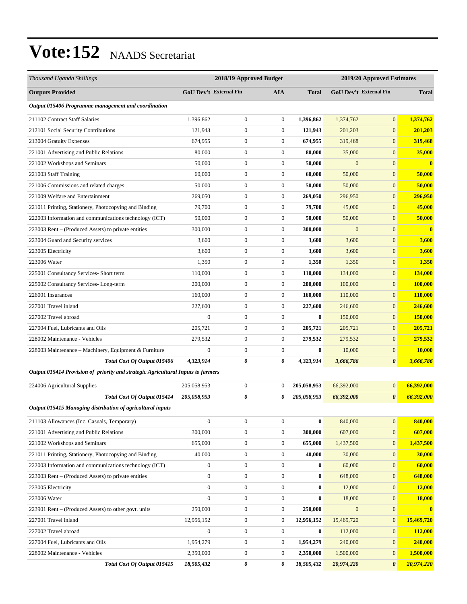| Thousand Uganda Shillings                                                        |                  | 2018/19 Approved Budget       |                  |                  | 2019/20 Approved Estimates    |                       |                |
|----------------------------------------------------------------------------------|------------------|-------------------------------|------------------|------------------|-------------------------------|-----------------------|----------------|
| <b>Outputs Provided</b>                                                          |                  | <b>GoU Dev't External Fin</b> | <b>AIA</b>       | <b>Total</b>     | <b>GoU Dev't External Fin</b> |                       | <b>Total</b>   |
| Output 015406 Programme management and coordination                              |                  |                               |                  |                  |                               |                       |                |
| 211102 Contract Staff Salaries                                                   | 1.396.862        | $\boldsymbol{0}$              | $\boldsymbol{0}$ | 1,396,862        | 1,374,762                     | $\overline{0}$        | 1,374,762      |
| 212101 Social Security Contributions                                             | 121,943          | $\boldsymbol{0}$              | $\boldsymbol{0}$ | 121,943          | 201,203                       | $\overline{0}$        | 201,203        |
| 213004 Gratuity Expenses                                                         | 674,955          | $\boldsymbol{0}$              | $\boldsymbol{0}$ | 674,955          | 319,468                       | $\overline{0}$        | 319,468        |
| 221001 Advertising and Public Relations                                          | 80,000           | $\boldsymbol{0}$              | $\boldsymbol{0}$ | 80,000           | 35,000                        | $\overline{0}$        | 35,000         |
| 221002 Workshops and Seminars                                                    | 50,000           | $\boldsymbol{0}$              | $\boldsymbol{0}$ | 50,000           | $\boldsymbol{0}$              | $\overline{0}$        | $\bf{0}$       |
| 221003 Staff Training                                                            | 60,000           | $\boldsymbol{0}$              | $\boldsymbol{0}$ | 60,000           | 50,000                        | $\overline{0}$        | 50,000         |
| 221006 Commissions and related charges                                           | 50,000           | $\boldsymbol{0}$              | $\boldsymbol{0}$ | 50,000           | 50,000                        | $\overline{0}$        | 50,000         |
| 221009 Welfare and Entertainment                                                 | 269,050          | $\boldsymbol{0}$              | $\boldsymbol{0}$ | 269,050          | 296,950                       | $\overline{0}$        | 296,950        |
| 221011 Printing, Stationery, Photocopying and Binding                            | 79,700           | $\boldsymbol{0}$              | $\boldsymbol{0}$ | 79,700           | 45,000                        | $\overline{0}$        | 45,000         |
| 222003 Information and communications technology (ICT)                           | 50,000           | $\boldsymbol{0}$              | $\boldsymbol{0}$ | 50,000           | 50,000                        | $\boldsymbol{0}$      | 50,000         |
| 223003 Rent - (Produced Assets) to private entities                              | 300,000          | $\boldsymbol{0}$              | $\boldsymbol{0}$ | 300,000          | $\mathbf{0}$                  | $\boldsymbol{0}$      | $\bf{0}$       |
| 223004 Guard and Security services                                               | 3,600            | $\boldsymbol{0}$              | $\boldsymbol{0}$ | 3,600            | 3,600                         | $\overline{0}$        | 3,600          |
| 223005 Electricity                                                               | 3,600            | $\boldsymbol{0}$              | $\boldsymbol{0}$ | 3,600            | 3,600                         | $\overline{0}$        | 3,600          |
| 223006 Water                                                                     | 1,350            | $\boldsymbol{0}$              | $\boldsymbol{0}$ | 1,350            | 1,350                         | $\boldsymbol{0}$      | 1,350          |
| 225001 Consultancy Services- Short term                                          | 110,000          | $\boldsymbol{0}$              | $\boldsymbol{0}$ | 110,000          | 134,000                       | $\overline{0}$        | 134,000        |
| 225002 Consultancy Services-Long-term                                            | 200,000          | $\boldsymbol{0}$              | $\boldsymbol{0}$ | 200,000          | 100,000                       | $\overline{0}$        | 100,000        |
| 226001 Insurances                                                                | 160,000          | $\boldsymbol{0}$              | $\boldsymbol{0}$ | 160,000          | 110,000                       | $\overline{0}$        | <b>110,000</b> |
| 227001 Travel inland                                                             | 227,600          | $\boldsymbol{0}$              | $\boldsymbol{0}$ | 227,600          | 246,600                       | $\overline{0}$        | 246,600        |
| 227002 Travel abroad                                                             | $\mathbf{0}$     | $\boldsymbol{0}$              | $\boldsymbol{0}$ | $\bf{0}$         | 150,000                       | $\boldsymbol{0}$      | 150,000        |
| 227004 Fuel, Lubricants and Oils                                                 | 205,721          | $\boldsymbol{0}$              | $\boldsymbol{0}$ | 205,721          | 205,721                       | $\boldsymbol{0}$      | 205,721        |
| 228002 Maintenance - Vehicles                                                    | 279,532          | $\boldsymbol{0}$              | $\boldsymbol{0}$ | 279,532          | 279,532                       | $\boldsymbol{0}$      | 279,532        |
| 228003 Maintenance – Machinery, Equipment & Furniture                            | $\boldsymbol{0}$ | $\boldsymbol{0}$              | $\boldsymbol{0}$ | $\bf{0}$         | 10,000                        | $\boldsymbol{0}$      | <b>10,000</b>  |
| Total Cost Of Output 015406                                                      | 4,323,914        | 0                             | 0                | 4,323,914        | 3,666,786                     | 0                     | 3,666,786      |
| Output 015414 Provision of priority and strategic Agricultural Inputs to farmers |                  |                               |                  |                  |                               |                       |                |
| 224006 Agricultural Supplies                                                     | 205,058,953      | $\boldsymbol{0}$              | $\boldsymbol{0}$ | 205,058,953      | 66,392,000                    | $\boldsymbol{0}$      | 66,392,000     |
| Total Cost Of Output 015414                                                      | 205,058,953      | 0                             | 0                | 205,058,953      | 66,392,000                    | 0                     | 66,392,000     |
| Output 015415 Managing distribution of agricultural inputs                       |                  |                               |                  |                  |                               |                       |                |
| 211103 Allowances (Inc. Casuals, Temporary)                                      | $\boldsymbol{0}$ | $\boldsymbol{0}$              | $\boldsymbol{0}$ | $\bf{0}$         | 840,000                       | $\mathbf{0}$          | 840,000        |
| 221001 Advertising and Public Relations                                          | 300,000          | $\boldsymbol{0}$              | $\boldsymbol{0}$ | 300,000          | 607,000                       | $\mathbf{0}$          | 607,000        |
| 221002 Workshops and Seminars                                                    | 655,000          | $\boldsymbol{0}$              | $\boldsymbol{0}$ | 655,000          | 1,437,500                     | $\boldsymbol{0}$      | 1,437,500      |
| 221011 Printing, Stationery, Photocopying and Binding                            | 40,000           | $\boldsymbol{0}$              | $\boldsymbol{0}$ | 40,000           | 30,000                        | $\boldsymbol{0}$      | 30,000         |
| 222003 Information and communications technology (ICT)                           | $\boldsymbol{0}$ | $\boldsymbol{0}$              | $\boldsymbol{0}$ | $\bf{0}$         | 60,000                        | $\mathbf{0}$          | 60,000         |
| 223003 Rent – (Produced Assets) to private entities                              | $\boldsymbol{0}$ | $\boldsymbol{0}$              | $\boldsymbol{0}$ | $\bf{0}$         | 648,000                       | $\mathbf{0}$          | 648,000        |
| 223005 Electricity                                                               | $\boldsymbol{0}$ | $\boldsymbol{0}$              | $\boldsymbol{0}$ | $\boldsymbol{0}$ | 12,000                        | $\boldsymbol{0}$      | <b>12,000</b>  |
| 223006 Water                                                                     | $\boldsymbol{0}$ | $\boldsymbol{0}$              | $\boldsymbol{0}$ | $\bf{0}$         | 18,000                        | $\mathbf{0}$          | 18,000         |
| 223901 Rent – (Produced Assets) to other govt. units                             | 250,000          | $\boldsymbol{0}$              | $\boldsymbol{0}$ | 250,000          | $\mathbf{0}$                  | $\mathbf{0}$          | $\bf{0}$       |
| 227001 Travel inland                                                             | 12,956,152       | $\boldsymbol{0}$              | $\boldsymbol{0}$ | 12,956,152       | 15,469,720                    | $\boldsymbol{0}$      | 15,469,720     |
| 227002 Travel abroad                                                             | $\boldsymbol{0}$ | $\boldsymbol{0}$              | $\boldsymbol{0}$ | $\bf{0}$         | 112,000                       | $\mathbf{0}$          | 112,000        |
| 227004 Fuel, Lubricants and Oils                                                 | 1,954,279        | $\boldsymbol{0}$              | 0                | 1,954,279        | 240,000                       | $\mathbf{0}$          | 240,000        |
| 228002 Maintenance - Vehicles                                                    | 2,350,000        | $\boldsymbol{0}$              | $\boldsymbol{0}$ | 2,350,000        | 1,500,000                     | $\boldsymbol{0}$      | 1,500,000      |
| Total Cost Of Output 015415                                                      | 18,505,432       | 0                             | 0                | 18,505,432       | 20,974,220                    | $\boldsymbol{\theta}$ | 20,974,220     |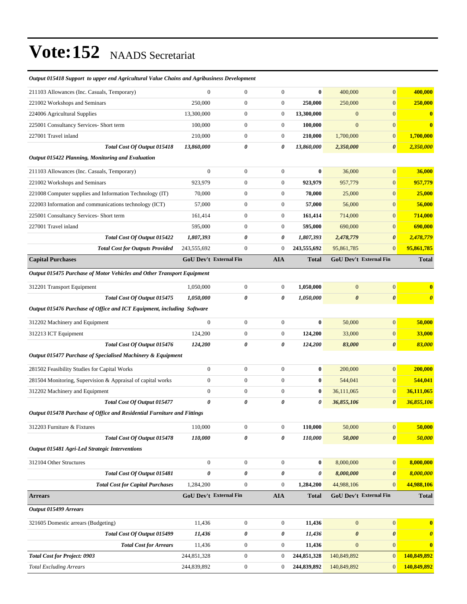#### *Output 015418 Support to upper end Agricultural Value Chains and Agribusiness Development*

| 211103 Allowances (Inc. Casuals, Temporary)                             | $\mathbf{0}$                  | $\boldsymbol{0}$ | $\mathbf{0}$     | $\bf{0}$     | 400,000               | $\mathbf{0}$                  | 400,000               |
|-------------------------------------------------------------------------|-------------------------------|------------------|------------------|--------------|-----------------------|-------------------------------|-----------------------|
| 221002 Workshops and Seminars                                           | 250,000                       | $\boldsymbol{0}$ | $\boldsymbol{0}$ | 250,000      | 250,000               | $\mathbf{0}$                  | 250,000               |
| 224006 Agricultural Supplies                                            | 13,300,000                    | $\boldsymbol{0}$ | $\boldsymbol{0}$ | 13,300,000   | $\boldsymbol{0}$      | $\mathbf{0}$                  | $\bf{0}$              |
| 225001 Consultancy Services- Short term                                 | 100,000                       | $\boldsymbol{0}$ | $\boldsymbol{0}$ | 100,000      | $\mathbf{0}$          | $\mathbf{0}$                  | $\bf{0}$              |
| 227001 Travel inland                                                    | 210,000                       | $\boldsymbol{0}$ | $\boldsymbol{0}$ | 210,000      | 1,700,000             | $\mathbf{0}$                  | 1,700,000             |
| Total Cost Of Output 015418                                             | 13,860,000                    | 0                | 0                | 13,860,000   | 2,350,000             | $\boldsymbol{\theta}$         | 2,350,000             |
| <b>Output 015422 Planning, Monitoring and Evaluation</b>                |                               |                  |                  |              |                       |                               |                       |
| 211103 Allowances (Inc. Casuals, Temporary)                             | $\overline{0}$                | $\boldsymbol{0}$ | $\mathbf{0}$     | $\bf{0}$     | 36,000                | $\mathbf{0}$                  | 36,000                |
| 221002 Workshops and Seminars                                           | 923,979                       | $\boldsymbol{0}$ | $\mathbf{0}$     | 923,979      | 957,779               | $\mathbf{0}$                  | 957,779               |
| 221008 Computer supplies and Information Technology (IT)                | 70,000                        | $\boldsymbol{0}$ | $\boldsymbol{0}$ | 70,000       | 25,000                | $\mathbf{0}$                  | 25,000                |
| 222003 Information and communications technology (ICT)                  | 57,000                        | $\boldsymbol{0}$ | $\boldsymbol{0}$ | 57,000       | 56,000                | $\mathbf{0}$                  | 56,000                |
| 225001 Consultancy Services- Short term                                 | 161,414                       | $\boldsymbol{0}$ | $\mathbf{0}$     | 161,414      | 714,000               | $\mathbf{0}$                  | 714,000               |
| 227001 Travel inland                                                    | 595,000                       | $\boldsymbol{0}$ | $\boldsymbol{0}$ | 595,000      | 690,000               | $\mathbf{0}$                  | 690,000               |
| Total Cost Of Output 015422                                             | 1,807,393                     | 0                | 0                | 1,807,393    | 2,478,779             | $\boldsymbol{\theta}$         | 2,478,779             |
| <b>Total Cost for Outputs Provided</b>                                  | 243,555,692                   | $\boldsymbol{0}$ | $\mathbf{0}$     | 243,555,692  | 95,861,785            | $\mathbf{0}$                  | 95,861,785            |
| <b>Capital Purchases</b>                                                | <b>GoU Dev't External Fin</b> |                  | <b>AIA</b>       | <b>Total</b> |                       | <b>GoU Dev't External Fin</b> | <b>Total</b>          |
| Output 015475 Purchase of Motor Vehicles and Other Transport Equipment  |                               |                  |                  |              |                       |                               |                       |
| 312201 Transport Equipment                                              | 1,050,000                     | $\boldsymbol{0}$ | $\mathbf{0}$     | 1,050,000    | $\boldsymbol{0}$      | $\boldsymbol{0}$              | $\bf{0}$              |
| Total Cost Of Output 015475                                             | 1,050,000                     | 0                | 0                | 1,050,000    | $\boldsymbol{\theta}$ | $\boldsymbol{\theta}$         | $\boldsymbol{\theta}$ |
| Output 015476 Purchase of Office and ICT Equipment, including Software  |                               |                  |                  |              |                       |                               |                       |
| 312202 Machinery and Equipment                                          | $\boldsymbol{0}$              | $\boldsymbol{0}$ | $\mathbf{0}$     | $\bf{0}$     | 50,000                | $\mathbf{0}$                  | 50,000                |
| 312213 ICT Equipment                                                    | 124,200                       | $\boldsymbol{0}$ | $\mathbf{0}$     | 124,200      | 33,000                | $\mathbf{0}$                  | 33,000                |
| Total Cost Of Output 015476                                             | 124,200                       | 0                | 0                | 124,200      | 83,000                | $\boldsymbol{\theta}$         | 83,000                |
| Output 015477 Purchase of Specialised Machinery & Equipment             |                               |                  |                  |              |                       |                               |                       |
| 281502 Feasibility Studies for Capital Works                            | $\boldsymbol{0}$              | $\boldsymbol{0}$ | $\mathbf{0}$     | $\bf{0}$     | 200,000               | $\mathbf{0}$                  | 200,000               |
| 281504 Monitoring, Supervision & Appraisal of capital works             | $\mathbf{0}$                  | $\boldsymbol{0}$ | $\boldsymbol{0}$ | $\bf{0}$     | 544,041               | $\mathbf{0}$                  | 544,041               |
| 312202 Machinery and Equipment                                          | $\boldsymbol{0}$              | $\boldsymbol{0}$ | $\boldsymbol{0}$ | $\bf{0}$     | 36,111,065            | $\mathbf{0}$                  | 36,111,065            |
| Total Cost Of Output 015477                                             | $\boldsymbol{\theta}$         | 0                | 0                | 0            | 36,855,106            | $\boldsymbol{\theta}$         | 36,855,106            |
| Output 015478 Purchase of Office and Residential Furniture and Fittings |                               |                  |                  |              |                       |                               |                       |
| 312203 Furniture & Fixtures                                             | 110,000                       | $\boldsymbol{0}$ | $\overline{0}$   | 110,000      | 50,000                | 0                             | 50,000                |
| Total Cost Of Output 015478                                             | 110,000                       | 0                | 0                | 110,000      | 50,000                | $\boldsymbol{\theta}$         | 50,000                |
| Output 015481 Agri-Led Strategic Interventions                          |                               |                  |                  |              |                       |                               |                       |
| 312104 Other Structures                                                 | $\boldsymbol{0}$              | $\boldsymbol{0}$ | $\mathbf{0}$     | $\bf{0}$     | 8,000,000             | $\mathbf{0}$                  | 8,000,000             |
| Total Cost Of Output 015481                                             | $\pmb{\theta}$                | 0                | 0                | 0            | 8,000,000             | $\boldsymbol{\theta}$         | 8,000,000             |
| <b>Total Cost for Capital Purchases</b>                                 | 1,284,200                     | $\boldsymbol{0}$ | $\boldsymbol{0}$ | 1,284,200    | 44,988,106            | $\mathbf{0}$                  | 44,988,106            |
| <b>Arrears</b>                                                          | GoU Dev't External Fin        |                  | <b>AIA</b>       | <b>Total</b> |                       | GoU Dev't External Fin        | <b>Total</b>          |
| Output 015499 Arrears                                                   |                               |                  |                  |              |                       |                               |                       |
| 321605 Domestic arrears (Budgeting)                                     | 11,436                        | $\boldsymbol{0}$ | $\boldsymbol{0}$ | 11,436       | $\boldsymbol{0}$      | $\mathbf{0}$                  | $\bf{0}$              |
| Total Cost Of Output 015499                                             | 11,436                        | 0                | 0                | 11,436       | $\boldsymbol{\theta}$ | $\boldsymbol{\theta}$         | $\boldsymbol{\theta}$ |
| <b>Total Cost for Arrears</b>                                           | 11,436                        | $\boldsymbol{0}$ | $\boldsymbol{0}$ | 11,436       | $\boldsymbol{0}$      | $\mathbf{0}$                  | $\bf{0}$              |
| <b>Total Cost for Project: 0903</b>                                     | 244,851,328                   | $\boldsymbol{0}$ | $\boldsymbol{0}$ | 244,851,328  | 140,849,892           | $\mathbf{0}$                  | 140,849,892           |
| <b>Total Excluding Arrears</b>                                          | 244,839,892                   | $\boldsymbol{0}$ | $\boldsymbol{0}$ | 244,839,892  | 140,849,892           | $\mathbf{0}$                  | 140,849,892           |
|                                                                         |                               |                  |                  |              |                       |                               |                       |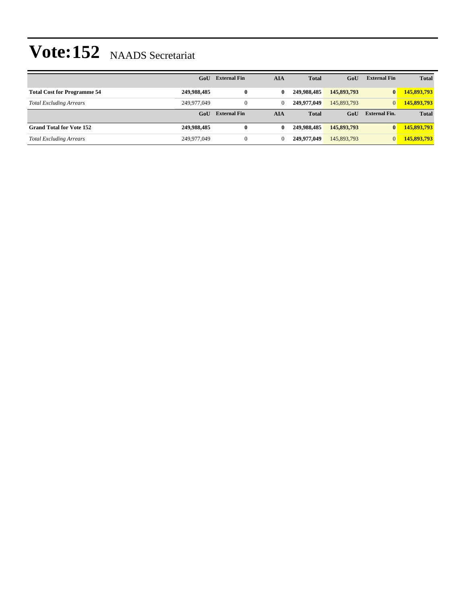|                                    | GoU         | <b>External Fin</b> | AIA          | <b>Total</b> | GoU         | <b>External Fin</b>  | <b>Total</b> |
|------------------------------------|-------------|---------------------|--------------|--------------|-------------|----------------------|--------------|
| <b>Total Cost for Programme 54</b> | 249,988,485 | $\bf{0}$            | $\mathbf{0}$ | 249.988.485  | 145,893,793 | $\bf{0}$             | 145,893,793  |
| <b>Total Excluding Arrears</b>     | 249,977,049 | $\mathbf{0}$        | 0            | 249.977.049  | 145,893,793 | $\overline{0}$       | 145,893,793  |
|                                    | GoU         | <b>External Fin</b> | AIA          | <b>Total</b> | GoU         | <b>External Fin.</b> | <b>Total</b> |
| <b>Grand Total for Vote 152</b>    | 249,988,485 | $\bf{0}$            | $\mathbf{0}$ | 249.988.485  | 145,893,793 | $\bf{0}$             | 145,893,793  |
| <b>Total Excluding Arrears</b>     | 249,977,049 | $\mathbf{0}$        |              | 249,977,049  | 145,893,793 | $\overline{0}$       | 145,893,793  |